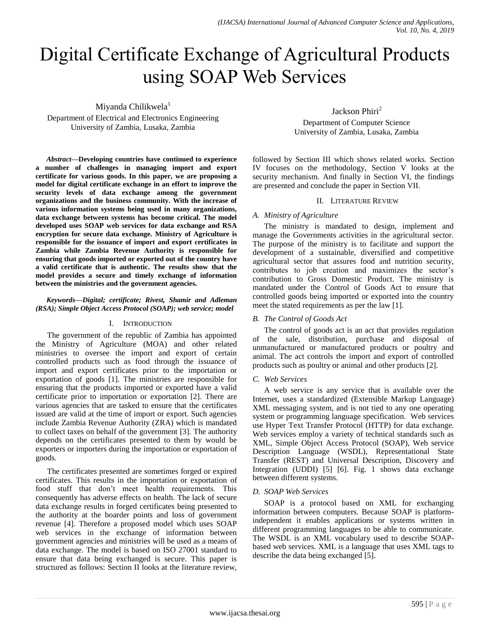# Digital Certificate Exchange of Agricultural Products using SOAP Web Services

Miyanda Chilikwela<sup>1</sup>

Department of Electrical and Electronics Engineering University of Zambia, Lusaka, Zambia

*Abstract***—Developing countries have continued to experience a number of challenges in managing import and export certificate for various goods. In this paper, we are proposing a model for digital certificate exchange in an effort to improve the security levels of data exchange among the government organizations and the business community. With the increase of various information systems being used in many organizations, data exchange between systems has become critical. The model developed uses SOAP web services for data exchange and RSA encryption for secure data exchange. Ministry of Agriculture is responsible for the issuance of import and export certificates in Zambia while Zambia Revenue Authority is responsible for ensuring that goods imported or exported out of the country have a valid certificate that is authentic. The results show that the model provides a secure and timely exchange of information between the ministries and the government agencies.**

# *Keywords—Digital; certificate; Rivest, Shamir and Adleman (RSA); Simple Object Access Protocol (SOAP); web service; model*

# I. INTRODUCTION

The government of the republic of Zambia has appointed the Ministry of Agriculture (MOA) and other related ministries to oversee the import and export of certain controlled products such as food through the issuance of import and export certificates prior to the importation or exportation of goods [1]. The ministries are responsible for ensuring that the products imported or exported have a valid certificate prior to importation or exportation [2]. There are various agencies that are tasked to ensure that the certificates issued are valid at the time of import or export. Such agencies include Zambia Revenue Authority (ZRA) which is mandated to collect taxes on behalf of the government [3]. The authority depends on the certificates presented to them by would be exporters or importers during the importation or exportation of goods.

The certificates presented are sometimes forged or expired certificates. This results in the importation or exportation of food stuff that don't meet health requirements. This consequently has adverse effects on health. The lack of secure data exchange results in forged certificates being presented to the authority at the boarder points and loss of government revenue [4]. Therefore a proposed model which uses SOAP web services in the exchange of information between government agencies and ministries will be used as a means of data exchange. The model is based on ISO 27001 standard to ensure that data being exchanged is secure. This paper is structured as follows: Section II looks at the literature review,

Jackson Phiri<sup>2</sup> Department of Computer Science University of Zambia, Lusaka, Zambia

followed by Section III which shows related works. Section IV focuses on the methodology, Section V looks at the security mechanism. And finally in Section VI, the findings are presented and conclude the paper in Section VII.

# II. LITERATURE REVIEW

# *A. Ministry of Agriculture*

The ministry is mandated to design, implement and manage the Governments activities in the agricultural sector. The purpose of the ministry is to facilitate and support the development of a sustainable, diversified and competitive agricultural sector that assures food and nutrition security, contributes to job creation and maximizes the sector's contribution to Gross Domestic Product. The ministry is mandated under the Control of Goods Act to ensure that controlled goods being imported or exported into the country meet the stated requirements as per the law [1].

# *B. The Control of Goods Act*

The control of goods act is an act that provides regulation of the sale, distribution, purchase and disposal of unmanufactured or manufactured products or poultry and animal. The act controls the import and export of controlled products such as poultry or animal and other products [2].

# *C. Web Services*

A web service is any service that is available over the Internet, uses a standardized (Extensible Markup Language) XML messaging system, and is not tied to any one operating system or programming language specification. Web services use Hyper Text Transfer Protocol (HTTP) for data exchange. Web services employ a variety of technical standards such as XML, Simple Object Access Protocol (SOAP), Web service Description Language (WSDL), Representational State Transfer (REST) and Universal Description, Discovery and Integration (UDDI) [5] [6]. Fig. 1 shows data exchange between different systems.

# *D. SOAP Web Services*

SOAP is a protocol based on XML for exchanging information between computers. Because SOAP is platformindependent it enables applications or systems written in different programming languages to be able to communicate. The WSDL is an XML vocabulary used to describe SOAPbased web services. XML is a language that uses XML tags to describe the data being exchanged [5].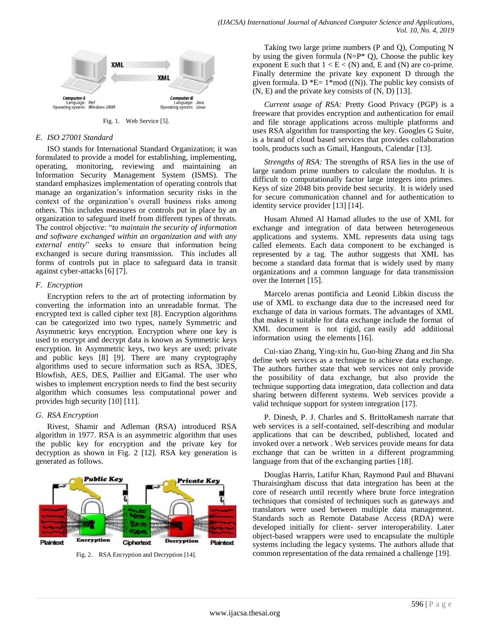

Fig. 1. Web Service [5].

## *E. ISO 27001 Standard*

ISO stands for International Standard Organization; it was formulated to provide a model for establishing, implementing, operating, monitoring, reviewing and maintaining an Information Security Management System (ISMS). The standard emphasizes implementation of operating controls that manage an organization's information security risks in the context of the organization's overall business risks among others. This includes measures or controls put in place by an organization to safeguard itself from different types of threats. The control objective: "to maintain the security of information *and software exchanged within an organization and with any*  external entity" seeks to ensure that information being exchanged is secure during transmission. This includes all forms of controls put in place to safeguard data in transit against cyber-attacks [6] [7].

# *F. Encryption*

Encryption refers to the art of protecting information by converting the information into an unreadable format. The encrypted text is called cipher text [8]. Encryption algorithms can be categorized into two types, namely Symmetric and Asymmetric keys encryption. Encryption where one key is used to encrypt and decrypt data is known as Symmetric keys encryption. In Asymmetric keys, two keys are used; private and public keys [8] [9]. There are many cryptography algorithms used to secure information such as RSA, 3DES, Blowfish, AES, DES, Paillier and ElGamal. The user who wishes to implement encryption needs to find the best security algorithm which consumes less computational power and provides high security [10] [11].

#### *G. RSA Encryption*

Rivest, Shamir and Adleman (RSA) introduced RSA algorithm in 1977. RSA is an asymmetric algorithm that uses the public key for encryption and the private key for decryption as shown in Fig. 2 [12]. RSA key generation is generated as follows.



Fig. 2. RSA Encryption and Decryption [14].

Taking two large prime numbers (P and Q), Computing N by using the given formula ( $N=P^* Q$ ), Choose the public key exponent E such that  $1 < E < (N)$  and, E and  $(N)$  are co-prime. Finally determine the private key exponent D through the given formula. D  $E= 1* \mod (N)$ . The public key consists of (N, E) and the private key consists of (N, D) [13].

*Current usage of RSA:* Pretty Good Privacy (PGP) is a freeware that provides encryption and authentication for email and file storage applications across multiple platforms and uses RSA algorithm for transporting the key. Googles G Suite, is a brand of cloud based services that provides collaboration tools, products such as Gmail, Hangouts, Calendar [13].

*Strengths of RSA:* The strengths of RSA lies in the use of large random prime numbers to calculate the modulus. It is difficult to computationally factor large integers into primes. Keys of size 2048 bits provide best security. It is widely used for secure communication channel and for authentication to identity service provider [13] [14].

Husam Ahmed Al Hamad alludes to the use of XML for exchange and integration of data between heterogeneous applications and systems. XML represents data using tags called elements. Each data component to be exchanged is represented by a tag. The author suggests that XML has become a standard data format that is widely used by many organizations and a common language for data transmission over the Internet [15].

Marcelo arenas pontificia and Leonid Libkin discuss the use of XML to exchange data due to the increased need for exchange of data in various formats. The advantages of XML that makes it suitable for data exchange include the format of XML document is not rigid, can easily add additional information using the elements [16].

Cui-xiao Zhang, Ying-xin hu, Guo-bing Zhang and Jin Sha define web services as a technique to achieve data exchange. The authors further state that web services not only provide the possibility of data exchange, but also provide the technique supporting data integration, data collection and data sharing between different systems. Web services provide a valid technique support for system integration [17].

P. Dinesh, P. J. Charles and S. BrittoRamesh narrate that web services is a self-contained, self-describing and modular applications that can be described, published, located and invoked over a network . Web services provide means for data exchange that can be written in a different programming language from that of the exchanging parties [18].

Douglas Harris, Latifur Khan, Raymond Paul and Bhavani Thuraisingham discuss that data integration has been at the core of research until recently where brute force integration techniques that consisted of techniques such as gateways and translators were used between multiple data management. Standards such as Remote Database Access (RDA) were developed initially for client- server interoperability. Later object-based wrappers were used to encapsulate the multiple systems including the legacy systems. The authors allude that common representation of the data remained a challenge [19].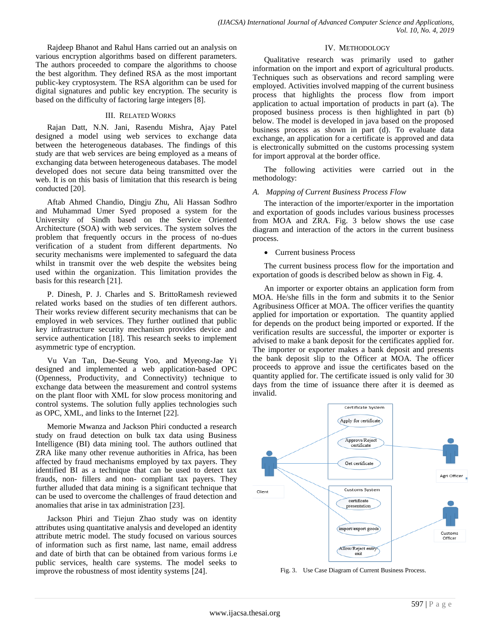Rajdeep Bhanot and Rahul Hans carried out an analysis on various encryption algorithms based on different parameters. The authors proceeded to compare the algorithms to choose the best algorithm. They defined RSA as the most important public-key cryptosystem. The RSA algorithm can be used for digital signatures and public key encryption. The security is based on the difficulty of factoring large integers [8].

## III. RELATED WORKS

Rajan Datt, N.N. Jani, Rasendu Mishra, Ajay Patel designed a model using web services to exchange data between the heterogeneous databases. The findings of this study are that web services are being employed as a means of exchanging data between heterogeneous databases. The model developed does not secure data being transmitted over the web. It is on this basis of limitation that this research is being conducted [20].

Aftab Ahmed Chandio, Dingju Zhu, Ali Hassan Sodhro and Muhammad Umer Syed proposed a system for the University of Sindh based on the Service Oriented Architecture (SOA) with web services. The system solves the problem that frequently occurs in the process of no-dues verification of a student from different departments. No security mechanisms were implemented to safeguard the data whilst in transmit over the web despite the websites being used within the organization. This limitation provides the basis for this research [21].

P. Dinesh, P. J. Charles and S. BrittoRamesh reviewed related works based on the studies of ten different authors. Their works review different security mechanisms that can be employed in web services. They further outlined that public key infrastructure security mechanism provides device and service authentication [18]. This research seeks to implement asymmetric type of encryption.

Vu Van Tan, Dae-Seung Yoo, and Myeong-Jae Yi designed and implemented a web application-based OPC (Openness, Productivity, and Connectivity) technique to exchange data between the measurement and control systems on the plant floor with XML for slow process monitoring and control systems. The solution fully applies technologies such as OPC, XML, and links to the Internet [22].

Memorie Mwanza and Jackson Phiri conducted a research study on fraud detection on bulk tax data using Business Intelligence (BI) data mining tool. The authors outlined that ZRA like many other revenue authorities in Africa, has been affected by fraud mechanisms employed by tax payers. They identified BI as a technique that can be used to detect tax frauds, non- fillers and non- compliant tax payers. They further alluded that data mining is a significant technique that can be used to overcome the challenges of fraud detection and anomalies that arise in tax administration [23].

Jackson Phiri and Tiejun Zhao study was on identity attributes using quantitative analysis and developed an identity attribute metric model. The study focused on various sources of information such as first name, last name, email address and date of birth that can be obtained from various forms i.e public services, health care systems. The model seeks to improve the robustness of most identity systems [24].

#### IV. METHODOLOGY

Qualitative research was primarily used to gather information on the import and export of agricultural products. Techniques such as observations and record sampling were employed. Activities involved mapping of the current business process that highlights the process flow from import application to actual importation of products in part (a). The proposed business process is then highlighted in part (b) below. The model is developed in java based on the proposed business process as shown in part (d). To evaluate data exchange, an application for a certificate is approved and data is electronically submitted on the customs processing system for import approval at the border office.

The following activities were carried out in the methodology:

## *A. Mapping of Current Business Process Flow*

The interaction of the importer/exporter in the importation and exportation of goods includes various business processes from MOA and ZRA. Fig. 3 below shows the use case diagram and interaction of the actors in the current business process.

#### • Current business Process

The current business process flow for the importation and exportation of goods is described below as shown in Fig. 4.

An importer or exporter obtains an application form from MOA. He/she fills in the form and submits it to the Senior Agribusiness Officer at MOA. The officer verifies the quantity applied for importation or exportation. The quantity applied for depends on the product being imported or exported. If the verification results are successful, the importer or exporter is advised to make a bank deposit for the certificates applied for. The importer or exporter makes a bank deposit and presents the bank deposit slip to the Officer at MOA. The officer proceeds to approve and issue the certificates based on the quantity applied for. The certificate issued is only valid for 30 days from the time of issuance there after it is deemed as invalid.



Fig. 3. Use Case Diagram of Current Business Process.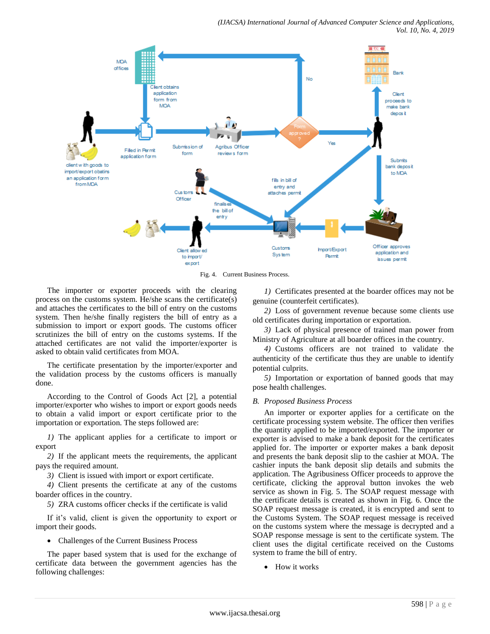

Fig. 4. Current Business Process.

The importer or exporter proceeds with the clearing process on the customs system. He/she scans the certificate(s) and attaches the certificates to the bill of entry on the customs system. Then he/she finally registers the bill of entry as a submission to import or export goods. The customs officer scrutinizes the bill of entry on the customs systems. If the attached certificates are not valid the importer/exporter is asked to obtain valid certificates from MOA.

The certificate presentation by the importer/exporter and the validation process by the customs officers is manually done.

According to the Control of Goods Act [2], a potential importer/exporter who wishes to import or export goods needs to obtain a valid import or export certificate prior to the importation or exportation. The steps followed are:

*1)* The applicant applies for a certificate to import or export

*2)* If the applicant meets the requirements, the applicant pays the required amount.

*3)* Client is issued with import or export certificate.

*4)* Client presents the certificate at any of the customs boarder offices in the country.

*5)* ZRA customs officer checks if the certificate is valid

If it's valid, client is given the opportunity to export or import their goods.

Challenges of the Current Business Process

The paper based system that is used for the exchange of certificate data between the government agencies has the following challenges:

*1)* Certificates presented at the boarder offices may not be genuine (counterfeit certificates).

*2)* Loss of government revenue because some clients use old certificates during importation or exportation.

*3)* Lack of physical presence of trained man power from Ministry of Agriculture at all boarder offices in the country.

*4)* Customs officers are not trained to validate the authenticity of the certificate thus they are unable to identify potential culprits.

*5)* Importation or exportation of banned goods that may pose health challenges.

# *B. Proposed Business Process*

An importer or exporter applies for a certificate on the certificate processing system website. The officer then verifies the quantity applied to be imported/exported. The importer or exporter is advised to make a bank deposit for the certificates applied for. The importer or exporter makes a bank deposit and presents the bank deposit slip to the cashier at MOA. The cashier inputs the bank deposit slip details and submits the application. The Agribusiness Officer proceeds to approve the certificate, clicking the approval button invokes the web service as shown in Fig. 5. The SOAP request message with the certificate details is created as shown in Fig. 6. Once the SOAP request message is created, it is encrypted and sent to the Customs System. The SOAP request message is received on the customs system where the message is decrypted and a SOAP response message is sent to the certificate system. The client uses the digital certificate received on the Customs system to frame the bill of entry.

• How it works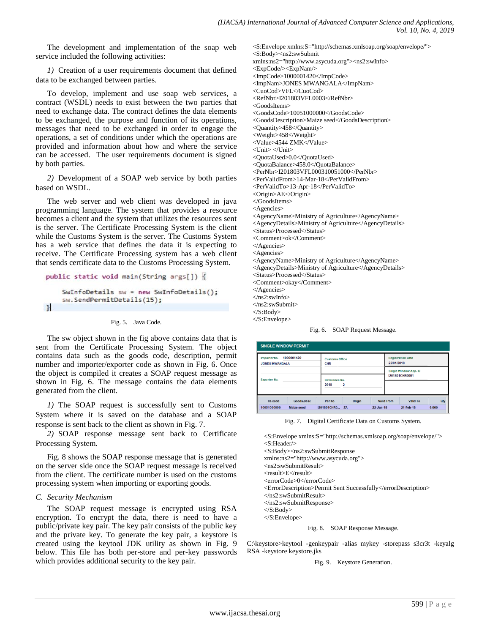The development and implementation of the soap web service included the following activities:

*1)* Creation of a user requirements document that defined data to be exchanged between parties.

To develop, implement and use soap web services, a contract (WSDL) needs to exist between the two parties that need to exchange data. The contract defines the data elements to be exchanged, the purpose and function of its operations, messages that need to be exchanged in order to engage the operations, a set of conditions under which the operations are provided and information about how and where the service can be accessed. The user requirements document is signed by both parties.

*2)* Development of a SOAP web service by both parties based on WSDL.

The web server and web client was developed in java programming language. The system that provides a resource becomes a client and the system that utilizes the resources sent is the server. The Certificate Processing System is the client while the Customs System is the server. The Customs System has a web service that defines the data it is expecting to receive. The Certificate Processing system has a web client that sends certificate data to the Customs Processing System.

```
public static void main(String args[]) {
    SwInfoDetails sw = new SwInfoDetails();
    sw.SendPermitDetails(15);
\mathcal{H}
```
#### Fig. 5. Java Code.

The sw object shown in the fig above contains data that is sent from the Certificate Processing System. The object contains data such as the goods code, description, permit number and importer/exporter code as shown in Fig. 6. Once the object is compiled it creates a SOAP request message as shown in Fig. 6. The message contains the data elements generated from the client.

*1)* The SOAP request is successfully sent to Customs System where it is saved on the database and a SOAP response is sent back to the client as shown in Fig. 7.

*2)* SOAP response message sent back to Certificate Processing System.

Fig. 8 shows the SOAP response message that is generated on the server side once the SOAP request message is received from the client. The certificate number is used on the customs processing system when importing or exporting goods.

#### *C. Security Mechanism*

The SOAP request message is encrypted using RSA encryption. To encrypt the data, there is need to have a public/private key pair. The key pair consists of the public key and the private key. To generate the key pair, a keystore is created using the keytool JDK utility as shown in Fig. 9 below. This file has both per-store and per-key passwords which provides additional security to the key pair.

<S:Envelope xmlns:S="http://schemas.xmlsoap.org/soap/envelope/"> <S:Body><ns2:swSubmit xmlns:ns2="http://www.asycuda.org"><ns2:swInfo> <ExpCode/><ExpNam/> <ImpCode>1000001420</ImpCode> <ImpNam>JONES MWANGALA</ImpNam> <CuoCod>VFL</CuoCod> <RefNbr>I201803VFL0003</RefNbr> <GoodsItems> <GoodsCode>10051000000</GoodsCode> <GoodsDescription>Maize seed</GoodsDescription> <Quantity>458</Quantity> <Weight>458</Weight> <Value>4544 ZMK</Value> <Unit> </Unit> <QuotaUsed>0.0</QuotaUsed> <QuotaBalance>458.0</QuotaBalance> <PerNbr>I201803VFL000310051000</PerNbr> <PerValidFrom>14-Mar-18</PerValidFrom> <PerValidTo>13-Apr-18</PerValidTo> <Origin>AE</Origin> </GoodsItems> <Agencies> <AgencyName>Ministry of Agriculture</AgencyName> <AgencyDetails>Ministry of Agriculture</AgencyDetails> <Status>Processed</Status> <Comment>ok</Comment> </Agencies> <Agencies> <AgencyName>Ministry of Agriculture</AgencyName> <AgencyDetails>Ministry of Agriculture</AgencyDetails> <Status>Processed</Status> <Comment>okay</Comment> </Agencies>  $\langle$ ns2:swInfo $>$ </ns2:swSubmit> </S:Body>

</S:Envelope>

Fig. 6. SOAP Request Message.

| <b>SINGLE WINDOW PERMIT</b>                                               |            |                |                                        |           |                   |                                                                                          |       |  |
|---------------------------------------------------------------------------|------------|----------------|----------------------------------------|-----------|-------------------|------------------------------------------------------------------------------------------|-------|--|
| 1000001420<br>ImporterNo.<br><b>JONES MWANGALA</b><br><b>Exporter No.</b> |            | <b>CHR</b>     | <b>Customs Office</b><br>Reference No. |           |                   | <b>Registration Date</b><br>22/01/2018<br><b>Single Window App. ID</b><br>I201801CHR0001 |       |  |
|                                                                           |            |                |                                        |           |                   |                                                                                          |       |  |
|                                                                           |            | 2018           | 2                                      |           |                   |                                                                                          |       |  |
| Hs.code                                                                   | Goods.Desc | Per No         | Origin                                 |           | <b>Valid From</b> | <b>Valid To</b>                                                                          | Qty   |  |
| 10051000000                                                               | Maize seed | 1201801CHRO ZA |                                        | 22.Jan-18 |                   | 21-Feb-18                                                                                | 6,000 |  |

Fig. 7. Digital Certificate Data on Customs System.

<S:Envelope xmlns:S="http://schemas.xmlsoap.org/soap/envelope/"> <S:Header/> <S:Body><ns2:swSubmitResponse xmlns:ns2="http://www.asycuda.org"> <ns2:swSubmitResult> <result>E</result> <errorCode>0</errorCode> <ErrorDescription>Permit Sent Successfully</errorDescription> </ns2:swSubmitResult> </ns2:swSubmitResponse> </S:Body> </S:Envelope>

Fig. 8. SOAP Response Message.

C:\keystore>keytool -genkeypair -alias mykey -storepass s3cr3t -keyalg RSA -keystore keystore.jks

Fig. 9. Keystore Generation.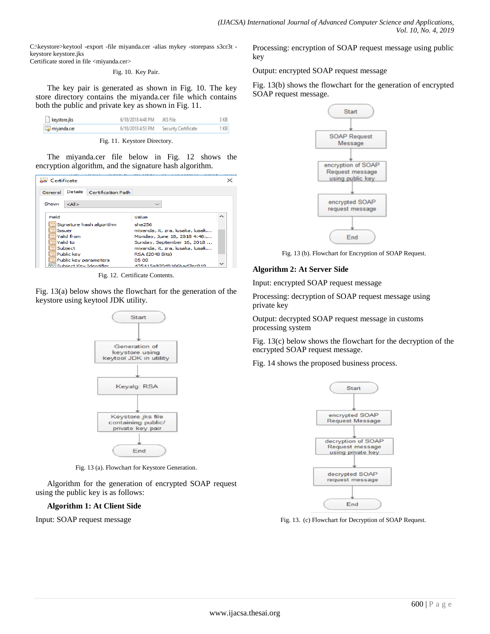C:\keystore>keytool -export -file miyanda.cer -alias mykey -storepass s3cr3t keystore keystore.jks

Certificate stored in file <miyanda.cer>

#### Fig. 10. Key Pair.

The key pair is generated as shown in Fig. 10. The key store directory contains the miyanda.cer file which contains both the public and private key as shown in Fig. 11.

| keystore.jks | 6/18/2018 4:48 PM JKS File |                      | 3 KB |
|--------------|----------------------------|----------------------|------|
| miyanda.cer  | 6/18/2018 4:53 PM          | Security Certificate | 1KB  |

Fig. 11. Keystore Directory.

The miyanda.cer file below in Fig. 12 shows the encryption algorithm, and the signature hash algorithm.

|         | Certificate    |                          |                                 |   |
|---------|----------------|--------------------------|---------------------------------|---|
| General | <b>Details</b> | Certification Path       |                                 |   |
| Show:   | $<$ All $>$    |                          |                                 |   |
| Field   |                |                          | Value                           | ∼ |
|         |                | Signature hash algorithm | sha256                          |   |
|         | <b>Issuer</b>  |                          | miyanda, it, zra, lusaka, lusak |   |
|         | Valid from     |                          | Monday, June 18, 2018 4:48:     |   |
|         | Valid to       |                          | Sunday, September 16, 2018      |   |
|         | Subject        |                          | miyanda, it, zra, lusaka, lusak |   |
|         | Public key     |                          | <b>RSA (2048 Bits)</b>          |   |
|         |                | Public key parameters    | 05.00                           |   |
|         |                | Subject Key Identifier   | 435415a920d9106bad7ec819        |   |
|         |                |                          |                                 |   |

Fig. 12. Certificate Contents.

Fig. 13(a) below shows the flowchart for the generation of the keystore using keytool JDK utility.



Fig. 13 (a). Flowchart for Keystore Generation.

Algorithm for the generation of encrypted SOAP request using the public key is as follows:

# **Algorithm 1: At Client Side**

Input: SOAP request message

Processing: encryption of SOAP request message using public key

Output: encrypted SOAP request message

Fig. 13(b) shows the flowchart for the generation of encrypted SOAP request message.



Fig. 13 (b). Flowchart for Encryption of SOAP Request.

# **Algorithm 2: At Server Side**

Input: encrypted SOAP request message

Processing: decryption of SOAP request message using private key

Output: decrypted SOAP request message in customs processing system

Fig. 13(c) below shows the flowchart for the decryption of the encrypted SOAP request message.

Fig. 14 shows the proposed business process.



Fig. 13. (c) Flowchart for Decryption of SOAP Request.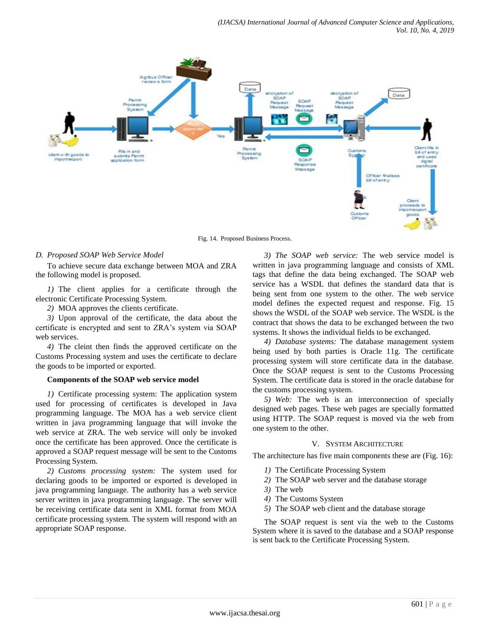

Fig. 14. Proposed Business Process.

# *D. Proposed SOAP Web Service Model*

To achieve secure data exchange between MOA and ZRA the following model is proposed.

*1)* The client applies for a certificate through the electronic Certificate Processing System.

*2)* MOA approves the clients certificate.

*3)* Upon approval of the certificate, the data about the certificate is encrypted and sent to ZRA's system via SOAP web services.

*4)* The cleint then finds the approved certificate on the Customs Processing system and uses the certificate to declare the goods to be imported or exported.

# **Components of the SOAP web service model**

*1)* Certificate processing system: The application system used for processing of certificates is developed in Java programming language. The MOA has a web service client written in java programming language that will invoke the web service at ZRA. The web service will only be invoked once the certificate has been approved. Once the certificate is approved a SOAP request message will be sent to the Customs Processing System.

*2) Customs processing system:* The system used for declaring goods to be imported or exported is developed in java programming language. The authority has a web service server written in java programming language. The server will be receiving certificate data sent in XML format from MOA certificate processing system. The system will respond with an appropriate SOAP response.

*3) The SOAP web service:* The web service model is written in java programming language and consists of XML tags that define the data being exchanged. The SOAP web service has a WSDL that defines the standard data that is being sent from one system to the other. The web service model defines the expected request and response. Fig. 15 shows the WSDL of the SOAP web service. The WSDL is the contract that shows the data to be exchanged between the two systems. It shows the individual fields to be exchanged.

*4) Database systems:* The database management system being used by both parties is Oracle 11g. The certificate processing system will store certificate data in the database. Once the SOAP request is sent to the Customs Processing System. The certificate data is stored in the oracle database for the customs processing system.

*5) Web:* The web is an interconnection of specially designed web pages. These web pages are specially formatted using HTTP. The SOAP request is moved via the web from one system to the other.

### V. SYSTEM ARCHITECTURE

The architecture has five main components these are (Fig. 16):

- *1)* The Certificate Processing System
- *2)* The SOAP web server and the database storage
- *3)* The web
- *4)* The Customs System
- *5)* The SOAP web client and the database storage

The SOAP request is sent via the web to the Customs System where it is saved to the database and a SOAP response is sent back to the Certificate Processing System.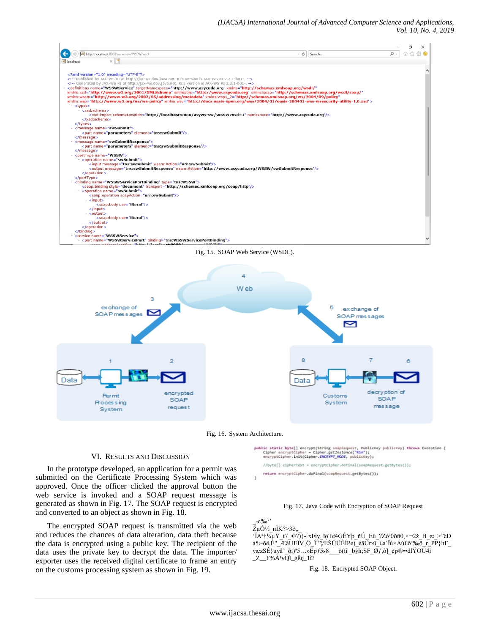

Fig. 15. SOAP Web Service (WSDL).



Fig. 16. System Architecture.

#### VI. RESULTS AND DISCUSSION

In the prototype developed, an application for a permit was submitted on the Certificate Processing System which was approved. Once the officer clicked the approval button the web service is invoked and a SOAP request message is generated as shown in Fig. 17. The SOAP request is encrypted and converted to an object as shown in Fig. 18.

The encrypted SOAP request is transmitted via the web and reduces the chances of data alteration, data theft because the data is encrypted using a public key. The recipient of the data uses the private key to decrypt the data. The importer/ exporter uses the received digital certificate to frame an entry on the customs processing system as shown in Fig. 19.

public static byte[] encrypt(String soapRequest, PublicKey publicKey) throws Exception (<br>
Cipher encryptCipher = Cipher.getInstance("RSA");<br>
encryptCipher.init(Cipher.*ENCRYPT\_MODE*, publicKey);

//byte[] cipherText = encryptCipher.doFinal(soapRequest.getBytes());

return encryptCipher.doFinal(soapRequest.getBytes());  $\lambda$ 



#### $-c$ ‰''  $\overline{Z}$ µÒ½\_nÌK?>3õ., 'ÍA<sup>2</sup>†¼µŸ t7 ©?)}-[xÞìy\_ïöTê4GÉYþ\_ñÚ\_Eü\_?Zò<sup>a</sup>0ðñ0¸×-2ž\_H\_æ\_>"ëD à5>-õë,È" $\overline{E}$ âUEÏV Ö $\hat{I}$ '''/ÉŠÛÜÊÍPe) $\overline{E}$ éãŪr›ü $\overline{L}$ £a'Ïú×Áú£ô!‰õ $\overline{I}$ r $\overline{PP}$ }hF yæzSÊ}uyå~\_õi)<sup>a</sup>5…»Ëpf5s8\_\_\_ö(ii'\_býh;SF\_Øf,ó]\_¢p®••dlŸOÚ4ì  $Z_F\%$ À<sup>1</sup>vQì\_gßç\_1î?

Fig. 18. Encrypted SOAP Object.